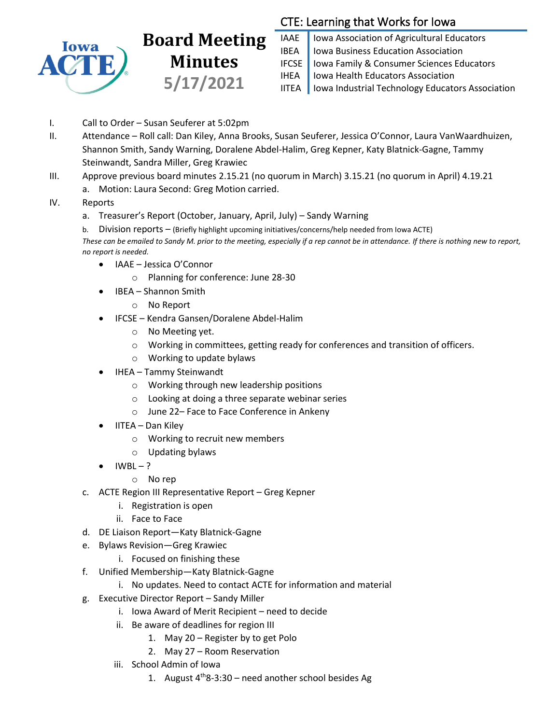

## **Board Meeting Minutes 5/17/2021**

## CTE: Learning that Works for Iowa

IAAE | Iowa Association of Agricultural Educators IBEA | Iowa Business Education Association IFCSE Iowa Family & Consumer Sciences Educators IHEA | Iowa Health Educators Association IITEA | Iowa Industrial Technology Educators Association

- I. Call to Order Susan Seuferer at 5:02pm
- II. Attendance Roll call: Dan Kiley, Anna Brooks, Susan Seuferer, Jessica O'Connor, Laura VanWaardhuizen, Shannon Smith, Sandy Warning, Doralene Abdel-Halim, Greg Kepner, Katy Blatnick-Gagne, Tammy Steinwandt, Sandra Miller, Greg Krawiec
- III. Approve previous board minutes 2.15.21 (no quorum in March) 3.15.21 (no quorum in April) 4.19.21 a. Motion: Laura Second: Greg Motion carried.
- IV. Reports
	- a. Treasurer's Report (October, January, April, July) Sandy Warning
	- b. Division reports (Briefly highlight upcoming initiatives/concerns/help needed from Iowa ACTE)

*These can be emailed to Sandy M. prior to the meeting, especially if a rep cannot be in attendance. If there is nothing new to report, no report is needed.*

- IAAE Jessica O'Connor
	- o Planning for conference: June 28-30
- IBEA Shannon Smith
	- o No Report
- IFCSE Kendra Gansen/Doralene Abdel-Halim
	- o No Meeting yet.
	- o Working in committees, getting ready for conferences and transition of officers.
	- o Working to update bylaws
- IHEA Tammy Steinwandt
	- o Working through new leadership positions
	- o Looking at doing a three separate webinar series
	- o June 22– Face to Face Conference in Ankeny
- IITEA Dan Kiley
	- o Working to recruit new members
	- o Updating bylaws
- $IWBL ?$ 
	- o No rep
- c. ACTE Region III Representative Report Greg Kepner
	- i. Registration is open
	- ii. Face to Face
- d. DE Liaison Report—Katy Blatnick-Gagne
- e. Bylaws Revision—Greg Krawiec
	- i. Focused on finishing these
- f. Unified Membership—Katy Blatnick-Gagne
	- i. No updates. Need to contact ACTE for information and material
- g. Executive Director Report Sandy Miller
	- i. Iowa Award of Merit Recipient need to decide
	- ii. Be aware of deadlines for region III
		- 1. May 20 Register by to get Polo
		- 2. May 27 Room Reservation
	- iii. School Admin of Iowa
		- 1. August  $4^{th}8-3:30$  need another school besides Ag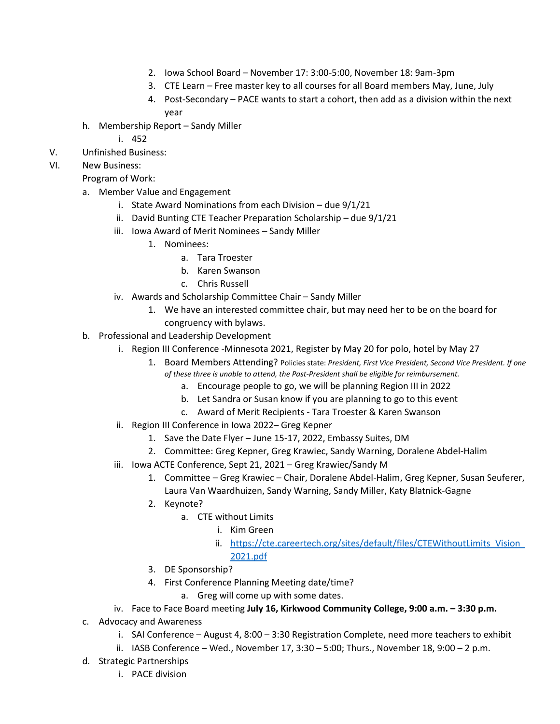- 2. Iowa School Board November 17: 3:00-5:00, November 18: 9am-3pm
- 3. CTE Learn Free master key to all courses for all Board members May, June, July
- 4. Post-Secondary PACE wants to start a cohort, then add as a division within the next year
- h. Membership Report Sandy Miller
	- i. 452
- V. Unfinished Business:
- VI. New Business:
	- Program of Work:
	- a. Member Value and Engagement
		- i. State Award Nominations from each Division due 9/1/21
		- ii. David Bunting CTE Teacher Preparation Scholarship due 9/1/21
		- iii. Iowa Award of Merit Nominees Sandy Miller
			- 1. Nominees:
				- a. Tara Troester
				- b. Karen Swanson
				- c. Chris Russell
		- iv. Awards and Scholarship Committee Chair Sandy Miller
			- 1. We have an interested committee chair, but may need her to be on the board for congruency with bylaws.
	- b. Professional and Leadership Development
		- i. Region III Conference -Minnesota 2021, Register by May 20 for polo, hotel by May 27
			- 1. Board Members Attending? Policies state: *President, First Vice President, Second Vice President. If one* 
				- *of these three is unable to attend, the Past-President shall be eligible for reimbursement.*
					- a. Encourage people to go, we will be planning Region III in 2022
					- b. Let Sandra or Susan know if you are planning to go to this event
					- c. Award of Merit Recipients Tara Troester & Karen Swanson
		- ii. Region III Conference in Iowa 2022– Greg Kepner
			- 1. Save the Date Flyer June 15-17, 2022, Embassy Suites, DM
			- 2. Committee: Greg Kepner, Greg Krawiec, Sandy Warning, Doralene Abdel-Halim
		- iii. Iowa ACTE Conference, Sept 21, 2021 Greg Krawiec/Sandy M
			- 1. Committee Greg Krawiec Chair, Doralene Abdel-Halim, Greg Kepner, Susan Seuferer, Laura Van Waardhuizen, Sandy Warning, Sandy Miller, Katy Blatnick-Gagne
			- 2. Keynote?
				- a. CTE without Limits
					- i. Kim Green
					- ii. [https://cte.careertech.org/sites/default/files/CTEWithoutLimits\\_Vision\\_](https://cte.careertech.org/sites/default/files/CTEWithoutLimits_Vision_2021.pdf)
				- [2021.pdf](https://cte.careertech.org/sites/default/files/CTEWithoutLimits_Vision_2021.pdf)
			- 3. DE Sponsorship?
			- 4. First Conference Planning Meeting date/time?
				- a. Greg will come up with some dates.
		- iv. Face to Face Board meeting July 16, Kirkwood Community College, 9:00 a.m. 3:30 p.m.
	- c. Advocacy and Awareness
		- i. SAI Conference August 4, 8:00 3:30 Registration Complete, need more teachers to exhibit
		- ii. IASB Conference Wed., November 17, 3:30 5:00; Thurs., November 18, 9:00 2 p.m.
	- d. Strategic Partnerships
		- i. PACE division